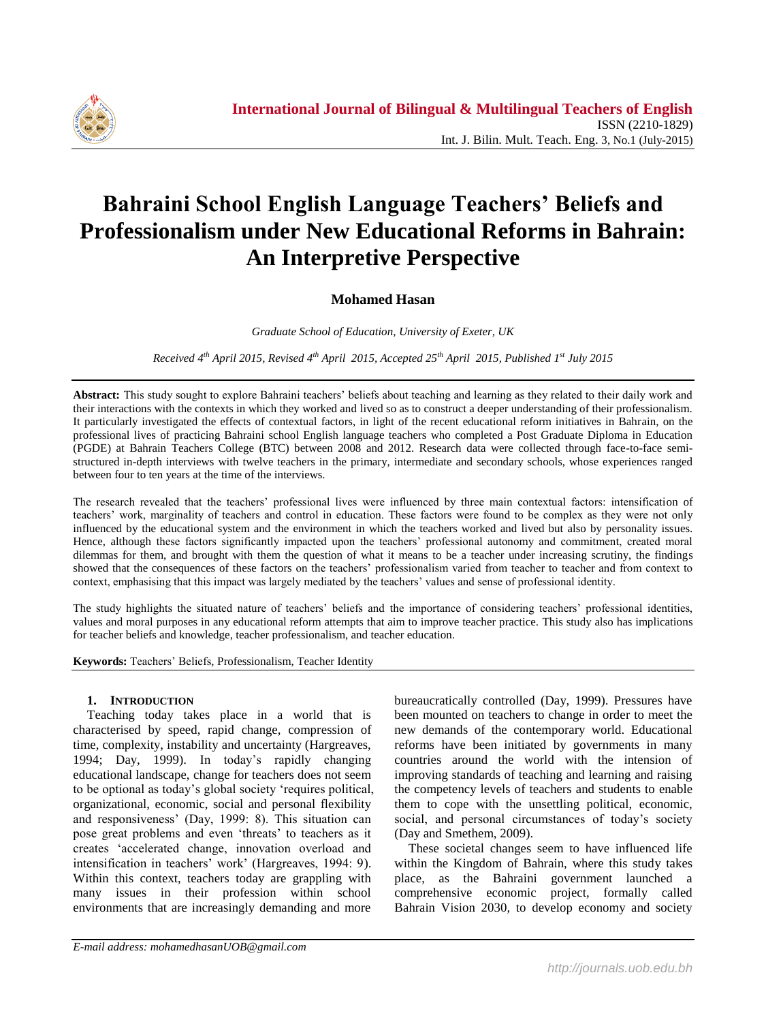

# **Bahraini School English Language Teachers' Beliefs and Professionalism under New Educational Reforms in Bahrain: An Interpretive Perspective**

## **Mohamed Hasan**

*Graduate School of Education, University of Exeter, UK*

*Received 4 th April 2015, Revised 4 th April 2015, Accepted 25th April 2015, Published 1 st July 2015*

**Abstract:** This study sought to explore Bahraini teachers" beliefs about teaching and learning as they related to their daily work and their interactions with the contexts in which they worked and lived so as to construct a deeper understanding of their professionalism. It particularly investigated the effects of contextual factors, in light of the recent educational reform initiatives in Bahrain, on the professional lives of practicing Bahraini school English language teachers who completed a Post Graduate Diploma in Education (PGDE) at Bahrain Teachers College (BTC) between 2008 and 2012. Research data were collected through face-to-face semistructured in-depth interviews with twelve teachers in the primary, intermediate and secondary schools, whose experiences ranged between four to ten years at the time of the interviews.

The research revealed that the teachers" professional lives were influenced by three main contextual factors: intensification of teachers" work, marginality of teachers and control in education. These factors were found to be complex as they were not only influenced by the educational system and the environment in which the teachers worked and lived but also by personality issues. Hence, although these factors significantly impacted upon the teachers" professional autonomy and commitment, created moral dilemmas for them, and brought with them the question of what it means to be a teacher under increasing scrutiny, the findings showed that the consequences of these factors on the teachers" professionalism varied from teacher to teacher and from context to context, emphasising that this impact was largely mediated by the teachers" values and sense of professional identity.

The study highlights the situated nature of teachers" beliefs and the importance of considering teachers" professional identities, values and moral purposes in any educational reform attempts that aim to improve teacher practice. This study also has implications for teacher beliefs and knowledge, teacher professionalism, and teacher education.

**Keywords:** Teachers" Beliefs, Professionalism, Teacher Identity

## **1. INTRODUCTION**

Teaching today takes place in a world that is characterised by speed, rapid change, compression of time, complexity, instability and uncertainty (Hargreaves, 1994; Day, 1999). In today"s rapidly changing educational landscape, change for teachers does not seem to be optional as today"s global society "requires political, organizational, economic, social and personal flexibility and responsiveness" (Day, 1999: 8). This situation can pose great problems and even 'threats' to teachers as it creates "accelerated change, innovation overload and intensification in teachers' work' (Hargreaves, 1994: 9). Within this context, teachers today are grappling with many issues in their profession within school environments that are increasingly demanding and more

bureaucratically controlled (Day, 1999). Pressures have been mounted on teachers to change in order to meet the new demands of the contemporary world. Educational reforms have been initiated by governments in many countries around the world with the intension of improving standards of teaching and learning and raising the competency levels of teachers and students to enable them to cope with the unsettling political, economic, social, and personal circumstances of today's society (Day and Smethem, 2009).

These societal changes seem to have influenced life within the Kingdom of Bahrain, where this study takes place, as the Bahraini government launched a comprehensive economic project, formally called Bahrain Vision 2030, to develop economy and society

*E-mail address: mohamedhasanUOB@gmail.com*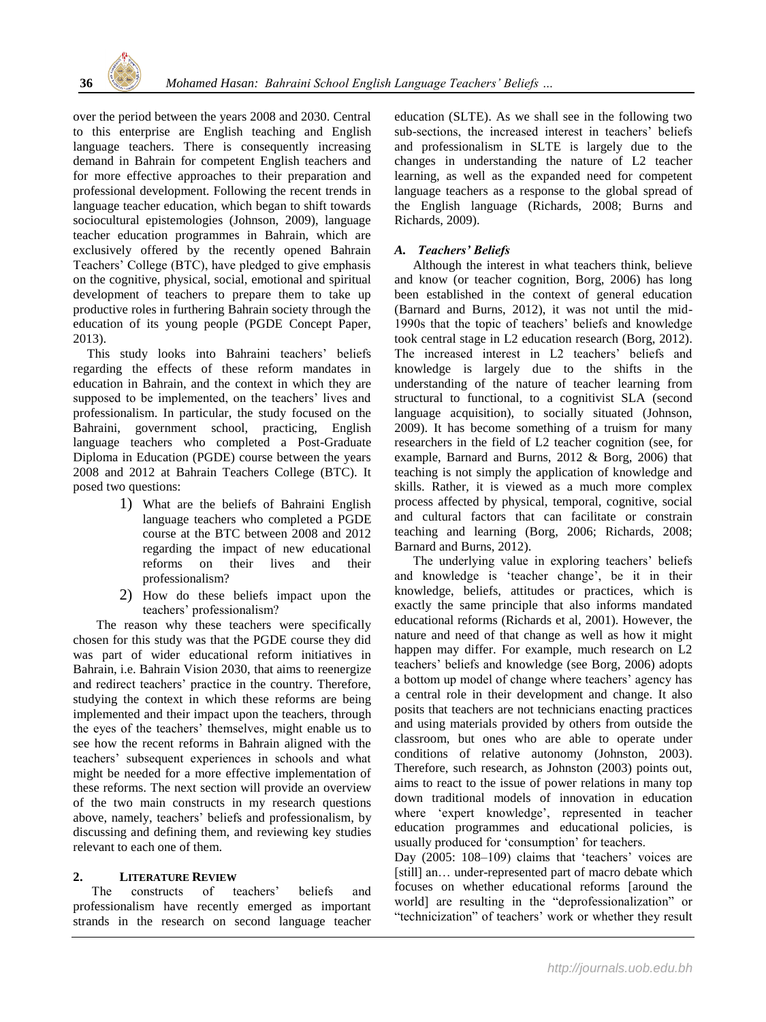

over the period between the years 2008 and 2030. Central to this enterprise are English teaching and English language teachers. There is consequently increasing demand in Bahrain for competent English teachers and for more effective approaches to their preparation and professional development. Following the recent trends in language teacher education, which began to shift towards sociocultural epistemologies (Johnson, 2009), language teacher education programmes in Bahrain, which are exclusively offered by the recently opened Bahrain Teachers" College (BTC), have pledged to give emphasis on the cognitive, physical, social, emotional and spiritual development of teachers to prepare them to take up productive roles in furthering Bahrain society through the education of its young people (PGDE Concept Paper, 2013).

This study looks into Bahraini teachers' beliefs regarding the effects of these reform mandates in education in Bahrain, and the context in which they are supposed to be implemented, on the teachers' lives and professionalism. In particular, the study focused on the Bahraini, government school, practicing, English language teachers who completed a Post-Graduate Diploma in Education (PGDE) course between the years 2008 and 2012 at Bahrain Teachers College (BTC). It posed two questions:

- 1) What are the beliefs of Bahraini English language teachers who completed a PGDE course at the BTC between 2008 and 2012 regarding the impact of new educational reforms on their lives and their professionalism?
- 2) How do these beliefs impact upon the teachers" professionalism?

The reason why these teachers were specifically chosen for this study was that the PGDE course they did was part of wider educational reform initiatives in Bahrain, i.e. Bahrain Vision 2030, that aims to reenergize and redirect teachers' practice in the country. Therefore, studying the context in which these reforms are being implemented and their impact upon the teachers, through the eyes of the teachers" themselves, might enable us to see how the recent reforms in Bahrain aligned with the teachers" subsequent experiences in schools and what might be needed for a more effective implementation of these reforms. The next section will provide an overview of the two main constructs in my research questions above, namely, teachers" beliefs and professionalism, by discussing and defining them, and reviewing key studies relevant to each one of them.

## **2. LITERATURE REVIEW**

The constructs of teachers' beliefs and professionalism have recently emerged as important strands in the research on second language teacher education (SLTE). As we shall see in the following two sub-sections, the increased interest in teachers' beliefs and professionalism in SLTE is largely due to the changes in understanding the nature of L2 teacher learning, as well as the expanded need for competent language teachers as a response to the global spread of the English language (Richards, 2008; Burns and Richards, 2009).

## *A. Teachers' Beliefs*

Although the interest in what teachers think, believe and know (or teacher cognition, Borg, 2006) has long been established in the context of general education (Barnard and Burns, 2012), it was not until the mid-1990s that the topic of teachers" beliefs and knowledge took central stage in L2 education research (Borg, 2012). The increased interest in L2 teachers' beliefs and knowledge is largely due to the shifts in the understanding of the nature of teacher learning from structural to functional, to a cognitivist SLA (second language acquisition), to socially situated (Johnson, 2009). It has become something of a truism for many researchers in the field of L2 teacher cognition (see, for example, Barnard and Burns, 2012 & Borg, 2006) that teaching is not simply the application of knowledge and skills. Rather, it is viewed as a much more complex process affected by physical, temporal, cognitive, social and cultural factors that can facilitate or constrain teaching and learning (Borg, 2006; Richards, 2008; Barnard and Burns, 2012).

The underlying value in exploring teachers' beliefs and knowledge is "teacher change", be it in their knowledge, beliefs, attitudes or practices, which is exactly the same principle that also informs mandated educational reforms (Richards et al, 2001). However, the nature and need of that change as well as how it might happen may differ. For example, much research on L2 teachers" beliefs and knowledge (see Borg, 2006) adopts a bottom up model of change where teachers' agency has a central role in their development and change. It also posits that teachers are not technicians enacting practices and using materials provided by others from outside the classroom, but ones who are able to operate under conditions of relative autonomy (Johnston, 2003). Therefore, such research, as Johnston (2003) points out, aims to react to the issue of power relations in many top down traditional models of innovation in education where "expert knowledge", represented in teacher education programmes and educational policies, is usually produced for "consumption" for teachers.

Day (2005: 108-109) claims that 'teachers' voices are [still] an... under-represented part of macro debate which focuses on whether educational reforms [around the world] are resulting in the "deprofessionalization" or "technicization" of teachers' work or whether they result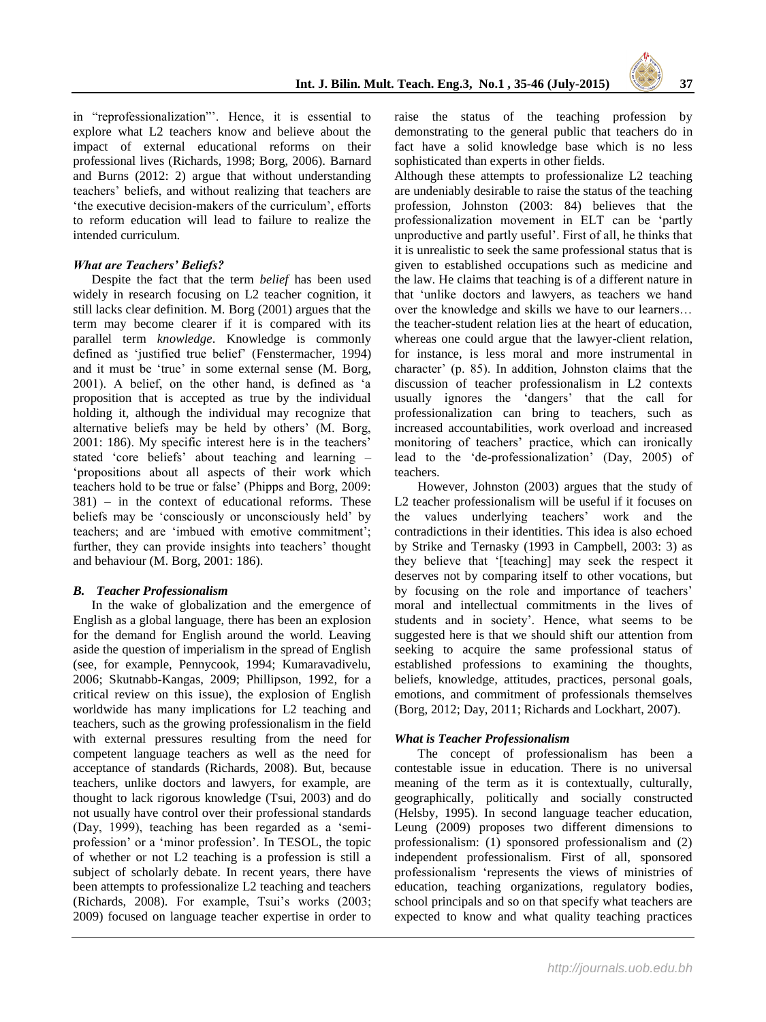

in "reprofessionalization"". Hence, it is essential to explore what L2 teachers know and believe about the impact of external educational reforms on their professional lives (Richards, 1998; Borg, 2006). Barnard and Burns (2012: 2) argue that without understanding teachers" beliefs, and without realizing that teachers are "the executive decision-makers of the curriculum", efforts to reform education will lead to failure to realize the intended curriculum.

### *What are Teachers' Beliefs?*

Despite the fact that the term *belief* has been used widely in research focusing on L2 teacher cognition, it still lacks clear definition. M. Borg (2001) argues that the term may become clearer if it is compared with its parallel term *knowledge*. Knowledge is commonly defined as "justified true belief" (Fenstermacher, 1994) and it must be 'true' in some external sense (M. Borg, 2001). A belief, on the other hand, is defined as "a proposition that is accepted as true by the individual holding it, although the individual may recognize that alternative beliefs may be held by others' (M. Borg, 2001: 186). My specific interest here is in the teachers" stated "core beliefs" about teaching and learning – "propositions about all aspects of their work which teachers hold to be true or false" (Phipps and Borg, 2009: 381) – in the context of educational reforms. These beliefs may be "consciously or unconsciously held" by teachers; and are 'imbued with emotive commitment': further, they can provide insights into teachers' thought and behaviour (M. Borg, 2001: 186).

#### *B. Teacher Professionalism*

In the wake of globalization and the emergence of English as a global language, there has been an explosion for the demand for English around the world. Leaving aside the question of imperialism in the spread of English (see, for example, Pennycook, 1994; Kumaravadivelu, 2006; Skutnabb-Kangas, 2009; Phillipson, 1992, for a critical review on this issue), the explosion of English worldwide has many implications for L2 teaching and teachers, such as the growing professionalism in the field with external pressures resulting from the need for competent language teachers as well as the need for acceptance of standards (Richards, 2008). But, because teachers, unlike doctors and lawyers, for example, are thought to lack rigorous knowledge (Tsui, 2003) and do not usually have control over their professional standards (Day, 1999), teaching has been regarded as a "semiprofession" or a "minor profession". In TESOL, the topic of whether or not L2 teaching is a profession is still a subject of scholarly debate. In recent years, there have been attempts to professionalize L2 teaching and teachers (Richards, 2008). For example, Tsui"s works (2003; 2009) focused on language teacher expertise in order to

raise the status of the teaching profession by demonstrating to the general public that teachers do in fact have a solid knowledge base which is no less sophisticated than experts in other fields.

Although these attempts to professionalize L2 teaching are undeniably desirable to raise the status of the teaching profession, Johnston (2003: 84) believes that the professionalization movement in ELT can be "partly unproductive and partly useful". First of all, he thinks that it is unrealistic to seek the same professional status that is given to established occupations such as medicine and the law. He claims that teaching is of a different nature in that "unlike doctors and lawyers, as teachers we hand over the knowledge and skills we have to our learners… the teacher-student relation lies at the heart of education, whereas one could argue that the lawyer-client relation, for instance, is less moral and more instrumental in character" (p. 85). In addition, Johnston claims that the discussion of teacher professionalism in L2 contexts usually ignores the "dangers" that the call for professionalization can bring to teachers, such as increased accountabilities, work overload and increased monitoring of teachers" practice, which can ironically lead to the "de-professionalization" (Day, 2005) of teachers.

However, Johnston (2003) argues that the study of L2 teacher professionalism will be useful if it focuses on the values underlying teachers" work and the contradictions in their identities. This idea is also echoed by Strike and Ternasky (1993 in Campbell, 2003: 3) as they believe that "[teaching] may seek the respect it deserves not by comparing itself to other vocations, but by focusing on the role and importance of teachers' moral and intellectual commitments in the lives of students and in society". Hence, what seems to be suggested here is that we should shift our attention from seeking to acquire the same professional status of established professions to examining the thoughts, beliefs, knowledge, attitudes, practices, personal goals, emotions, and commitment of professionals themselves (Borg, 2012; Day, 2011; Richards and Lockhart, 2007).

#### *What is Teacher Professionalism*

The concept of professionalism has been a contestable issue in education. There is no universal meaning of the term as it is contextually, culturally, geographically, politically and socially constructed (Helsby, 1995). In second language teacher education, Leung (2009) proposes two different dimensions to professionalism: (1) sponsored professionalism and (2) independent professionalism. First of all, sponsored professionalism "represents the views of ministries of education, teaching organizations, regulatory bodies, school principals and so on that specify what teachers are expected to know and what quality teaching practices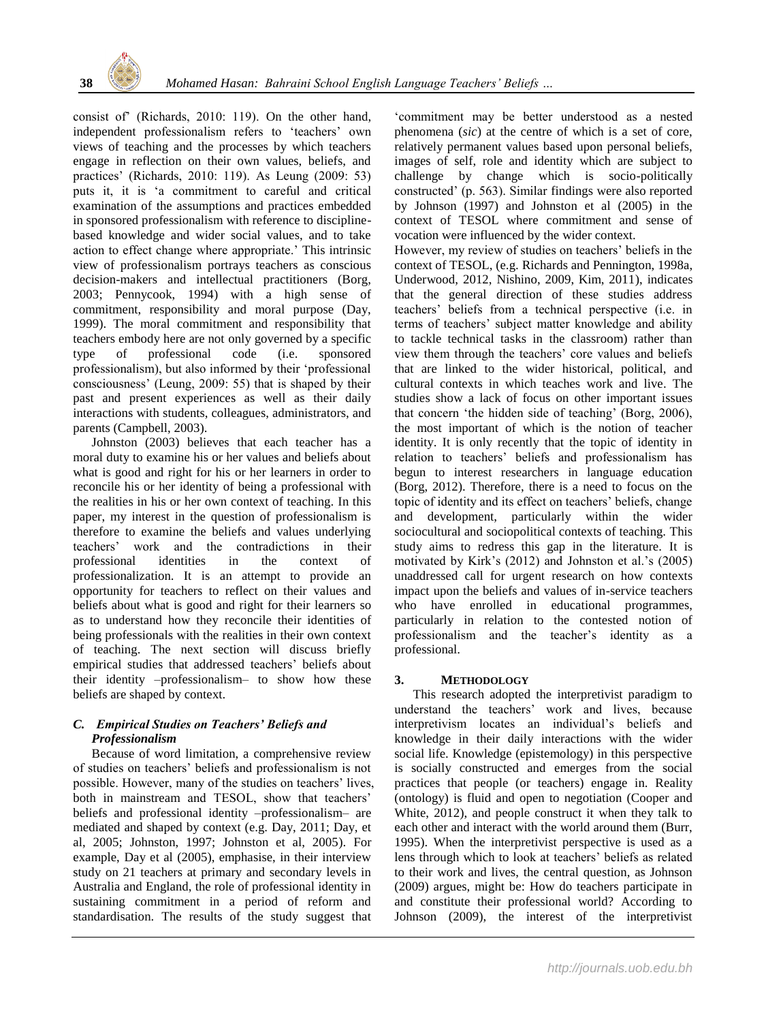

consist of" (Richards, 2010: 119). On the other hand, independent professionalism refers to "teachers" own views of teaching and the processes by which teachers engage in reflection on their own values, beliefs, and practices" (Richards, 2010: 119). As Leung (2009: 53) puts it, it is "a commitment to careful and critical examination of the assumptions and practices embedded in sponsored professionalism with reference to disciplinebased knowledge and wider social values, and to take action to effect change where appropriate." This intrinsic view of professionalism portrays teachers as conscious decision-makers and intellectual practitioners (Borg, 2003; Pennycook, 1994) with a high sense of commitment, responsibility and moral purpose (Day, 1999). The moral commitment and responsibility that teachers embody here are not only governed by a specific type of professional code (i.e. sponsored professionalism), but also informed by their "professional consciousness" (Leung, 2009: 55) that is shaped by their past and present experiences as well as their daily interactions with students, colleagues, administrators, and parents (Campbell, 2003).

Johnston (2003) believes that each teacher has a moral duty to examine his or her values and beliefs about what is good and right for his or her learners in order to reconcile his or her identity of being a professional with the realities in his or her own context of teaching. In this paper, my interest in the question of professionalism is therefore to examine the beliefs and values underlying teachers" work and the contradictions in their professional identities in the context of professionalization. It is an attempt to provide an opportunity for teachers to reflect on their values and beliefs about what is good and right for their learners so as to understand how they reconcile their identities of being professionals with the realities in their own context of teaching. The next section will discuss briefly empirical studies that addressed teachers" beliefs about their identity –professionalism– to show how these beliefs are shaped by context.

## *C. Empirical Studies on Teachers' Beliefs and Professionalism*

Because of word limitation, a comprehensive review of studies on teachers" beliefs and professionalism is not possible. However, many of the studies on teachers' lives, both in mainstream and TESOL, show that teachers' beliefs and professional identity –professionalism– are mediated and shaped by context (e.g. Day, 2011; Day, et al, 2005; Johnston, 1997; Johnston et al, 2005). For example, Day et al (2005), emphasise, in their interview study on 21 teachers at primary and secondary levels in Australia and England, the role of professional identity in sustaining commitment in a period of reform and standardisation. The results of the study suggest that

"commitment may be better understood as a nested phenomena (*sic*) at the centre of which is a set of core, relatively permanent values based upon personal beliefs, images of self, role and identity which are subject to challenge by change which is socio-politically constructed" (p. 563). Similar findings were also reported by Johnson (1997) and Johnston et al (2005) in the context of TESOL where commitment and sense of vocation were influenced by the wider context.

However, my review of studies on teachers' beliefs in the context of TESOL, (e.g. Richards and Pennington, 1998a, Underwood, 2012, Nishino, 2009, Kim, 2011), indicates that the general direction of these studies address teachers" beliefs from a technical perspective (i.e. in terms of teachers" subject matter knowledge and ability to tackle technical tasks in the classroom) rather than view them through the teachers" core values and beliefs that are linked to the wider historical, political, and cultural contexts in which teaches work and live. The studies show a lack of focus on other important issues that concern "the hidden side of teaching" (Borg, 2006), the most important of which is the notion of teacher identity. It is only recently that the topic of identity in relation to teachers" beliefs and professionalism has begun to interest researchers in language education (Borg, 2012). Therefore, there is a need to focus on the topic of identity and its effect on teachers" beliefs, change and development, particularly within the wider sociocultural and sociopolitical contexts of teaching. This study aims to redress this gap in the literature. It is motivated by Kirk"s (2012) and Johnston et al."s (2005) unaddressed call for urgent research on how contexts impact upon the beliefs and values of in-service teachers who have enrolled in educational programmes, particularly in relation to the contested notion of professionalism and the teacher"s identity as a professional.

## **3. METHODOLOGY**

This research adopted the interpretivist paradigm to understand the teachers" work and lives, because interpretivism locates an individual"s beliefs and knowledge in their daily interactions with the wider social life. Knowledge (epistemology) in this perspective is socially constructed and emerges from the social practices that people (or teachers) engage in. Reality (ontology) is fluid and open to negotiation (Cooper and White, 2012), and people construct it when they talk to each other and interact with the world around them (Burr, 1995). When the interpretivist perspective is used as a lens through which to look at teachers' beliefs as related to their work and lives, the central question, as Johnson (2009) argues, might be: How do teachers participate in and constitute their professional world? According to Johnson (2009), the interest of the interpretivist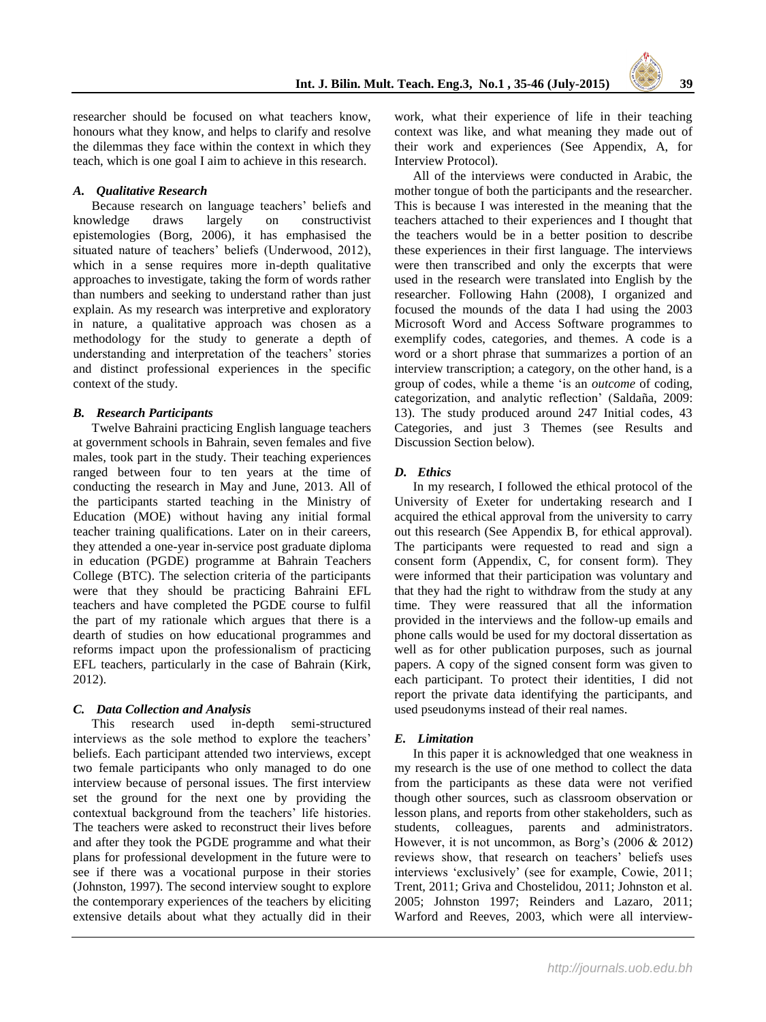researcher should be focused on what teachers know, honours what they know, and helps to clarify and resolve the dilemmas they face within the context in which they teach, which is one goal I aim to achieve in this research.

#### *A. Qualitative Research*

Because research on language teachers' beliefs and knowledge draws largely on constructivist epistemologies (Borg, 2006), it has emphasised the situated nature of teachers' beliefs (Underwood, 2012), which in a sense requires more in-depth qualitative approaches to investigate, taking the form of words rather than numbers and seeking to understand rather than just explain. As my research was interpretive and exploratory in nature, a qualitative approach was chosen as a methodology for the study to generate a depth of understanding and interpretation of the teachers' stories and distinct professional experiences in the specific context of the study.

#### *B. Research Participants*

Twelve Bahraini practicing English language teachers at government schools in Bahrain, seven females and five males, took part in the study. Their teaching experiences ranged between four to ten years at the time of conducting the research in May and June, 2013. All of the participants started teaching in the Ministry of Education (MOE) without having any initial formal teacher training qualifications. Later on in their careers, they attended a one-year in-service post graduate diploma in education (PGDE) programme at Bahrain Teachers College (BTC). The selection criteria of the participants were that they should be practicing Bahraini EFL teachers and have completed the PGDE course to fulfil the part of my rationale which argues that there is a dearth of studies on how educational programmes and reforms impact upon the professionalism of practicing EFL teachers, particularly in the case of Bahrain (Kirk, 2012).

#### *C. Data Collection and Analysis*

This research used in-depth semi-structured interviews as the sole method to explore the teachers' beliefs. Each participant attended two interviews, except two female participants who only managed to do one interview because of personal issues. The first interview set the ground for the next one by providing the contextual background from the teachers' life histories. The teachers were asked to reconstruct their lives before and after they took the PGDE programme and what their plans for professional development in the future were to see if there was a vocational purpose in their stories (Johnston, 1997). The second interview sought to explore the contemporary experiences of the teachers by eliciting extensive details about what they actually did in their work, what their experience of life in their teaching context was like, and what meaning they made out of their work and experiences (See Appendix, A, for Interview Protocol).

All of the interviews were conducted in Arabic, the mother tongue of both the participants and the researcher. This is because I was interested in the meaning that the teachers attached to their experiences and I thought that the teachers would be in a better position to describe these experiences in their first language. The interviews were then transcribed and only the excerpts that were used in the research were translated into English by the researcher. Following Hahn (2008), I organized and focused the mounds of the data I had using the 2003 Microsoft Word and Access Software programmes to exemplify codes, categories, and themes. A code is a word or a short phrase that summarizes a portion of an interview transcription; a category, on the other hand, is a group of codes, while a theme "is an *outcome* of coding, categorization, and analytic reflection" (Saldaña, 2009: 13). The study produced around 247 Initial codes, 43 Categories, and just 3 Themes (see Results and Discussion Section below).

#### *D. Ethics*

In my research, I followed the ethical protocol of the University of Exeter for undertaking research and I acquired the ethical approval from the university to carry out this research (See Appendix B, for ethical approval). The participants were requested to read and sign a consent form (Appendix, C, for consent form). They were informed that their participation was voluntary and that they had the right to withdraw from the study at any time. They were reassured that all the information provided in the interviews and the follow-up emails and phone calls would be used for my doctoral dissertation as well as for other publication purposes, such as journal papers. A copy of the signed consent form was given to each participant. To protect their identities, I did not report the private data identifying the participants, and used pseudonyms instead of their real names.

#### *E. Limitation*

In this paper it is acknowledged that one weakness in my research is the use of one method to collect the data from the participants as these data were not verified though other sources, such as classroom observation or lesson plans, and reports from other stakeholders, such as students, colleagues, parents and administrators. However, it is not uncommon, as Borg's  $(2006 \& 2012)$ reviews show, that research on teachers" beliefs uses interviews "exclusively" (see for example, Cowie, 2011; Trent, 2011; Griva and Chostelidou, 2011; Johnston et al. 2005; Johnston 1997; Reinders and Lazaro, 2011; Warford and Reeves, 2003, which were all interview-

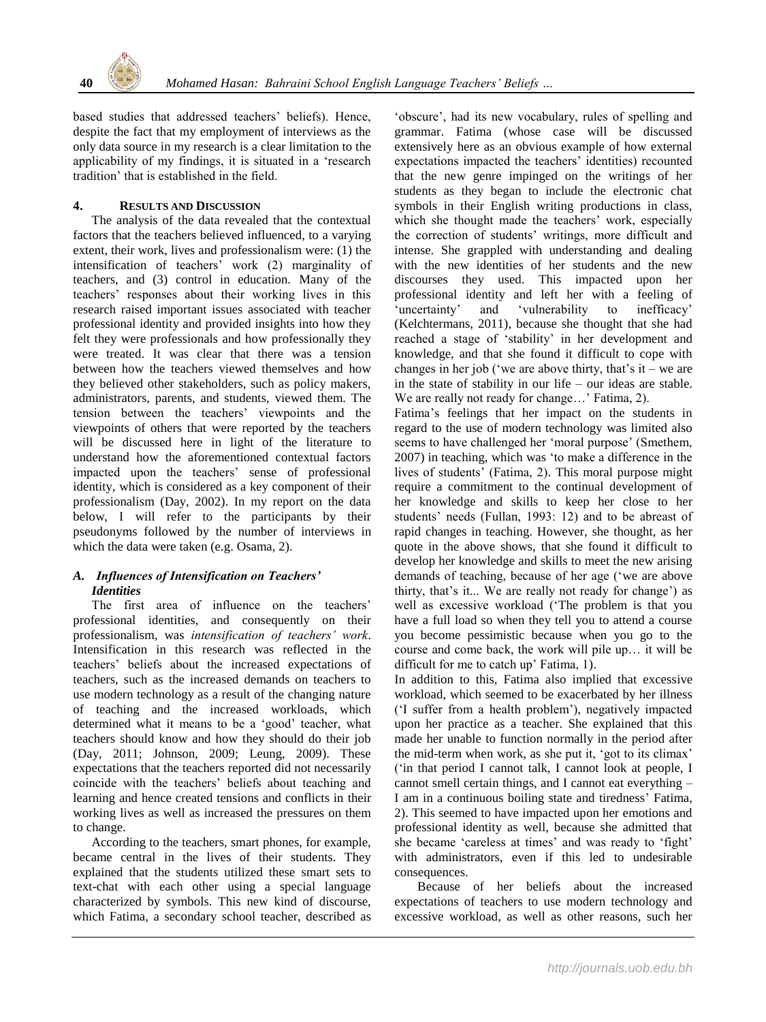

based studies that addressed teachers' beliefs). Hence, despite the fact that my employment of interviews as the only data source in my research is a clear limitation to the applicability of my findings, it is situated in a "research tradition" that is established in the field.

## **4. RESULTS AND DISCUSSION**

The analysis of the data revealed that the contextual factors that the teachers believed influenced, to a varying extent, their work, lives and professionalism were: (1) the intensification of teachers" work (2) marginality of teachers, and (3) control in education. Many of the teachers" responses about their working lives in this research raised important issues associated with teacher professional identity and provided insights into how they felt they were professionals and how professionally they were treated. It was clear that there was a tension between how the teachers viewed themselves and how they believed other stakeholders, such as policy makers, administrators, parents, and students, viewed them. The tension between the teachers" viewpoints and the viewpoints of others that were reported by the teachers will be discussed here in light of the literature to understand how the aforementioned contextual factors impacted upon the teachers' sense of professional identity, which is considered as a key component of their professionalism (Day, 2002). In my report on the data below, I will refer to the participants by their pseudonyms followed by the number of interviews in which the data were taken (e.g. Osama, 2).

## *A. Influences of Intensification on Teachers' Identities*

The first area of influence on the teachers' professional identities, and consequently on their professionalism, was *intensification of teachers' work*. Intensification in this research was reflected in the teachers" beliefs about the increased expectations of teachers, such as the increased demands on teachers to use modern technology as a result of the changing nature of teaching and the increased workloads, which determined what it means to be a "good" teacher, what teachers should know and how they should do their job (Day, 2011; Johnson, 2009; Leung, 2009). These expectations that the teachers reported did not necessarily coincide with the teachers" beliefs about teaching and learning and hence created tensions and conflicts in their working lives as well as increased the pressures on them to change.

According to the teachers, smart phones, for example, became central in the lives of their students. They explained that the students utilized these smart sets to text-chat with each other using a special language characterized by symbols. This new kind of discourse, which Fatima, a secondary school teacher, described as

"obscure", had its new vocabulary, rules of spelling and grammar. Fatima (whose case will be discussed extensively here as an obvious example of how external expectations impacted the teachers' identities) recounted that the new genre impinged on the writings of her students as they began to include the electronic chat symbols in their English writing productions in class, which she thought made the teachers' work, especially the correction of students" writings, more difficult and intense. She grappled with understanding and dealing with the new identities of her students and the new discourses they used. This impacted upon her professional identity and left her with a feeling of 'uncertainty' and 'vulnerability to inefficacy' (Kelchtermans, 2011), because she thought that she had reached a stage of "stability" in her development and knowledge, and that she found it difficult to cope with changes in her job ('we are above thirty, that's it – we are in the state of stability in our life – our ideas are stable. We are really not ready for change...' Fatima, 2).

Fatima"s feelings that her impact on the students in regard to the use of modern technology was limited also seems to have challenged her 'moral purpose' (Smethem, 2007) in teaching, which was "to make a difference in the lives of students" (Fatima, 2). This moral purpose might require a commitment to the continual development of her knowledge and skills to keep her close to her students' needs (Fullan, 1993: 12) and to be abreast of rapid changes in teaching. However, she thought, as her quote in the above shows, that she found it difficult to develop her knowledge and skills to meet the new arising demands of teaching, because of her age ("we are above thirty, that's it... We are really not ready for change') as well as excessive workload ("The problem is that you have a full load so when they tell you to attend a course you become pessimistic because when you go to the course and come back, the work will pile up… it will be difficult for me to catch up' Fatima, 1).

In addition to this, Fatima also implied that excessive workload, which seemed to be exacerbated by her illness ("I suffer from a health problem"), negatively impacted upon her practice as a teacher. She explained that this made her unable to function normally in the period after the mid-term when work, as she put it, "got to its climax" ("in that period I cannot talk, I cannot look at people, I cannot smell certain things, and I cannot eat everything – I am in a continuous boiling state and tiredness" Fatima, 2). This seemed to have impacted upon her emotions and professional identity as well, because she admitted that she became 'careless at times' and was ready to 'fight' with administrators, even if this led to undesirable consequences.

Because of her beliefs about the increased expectations of teachers to use modern technology and excessive workload, as well as other reasons, such her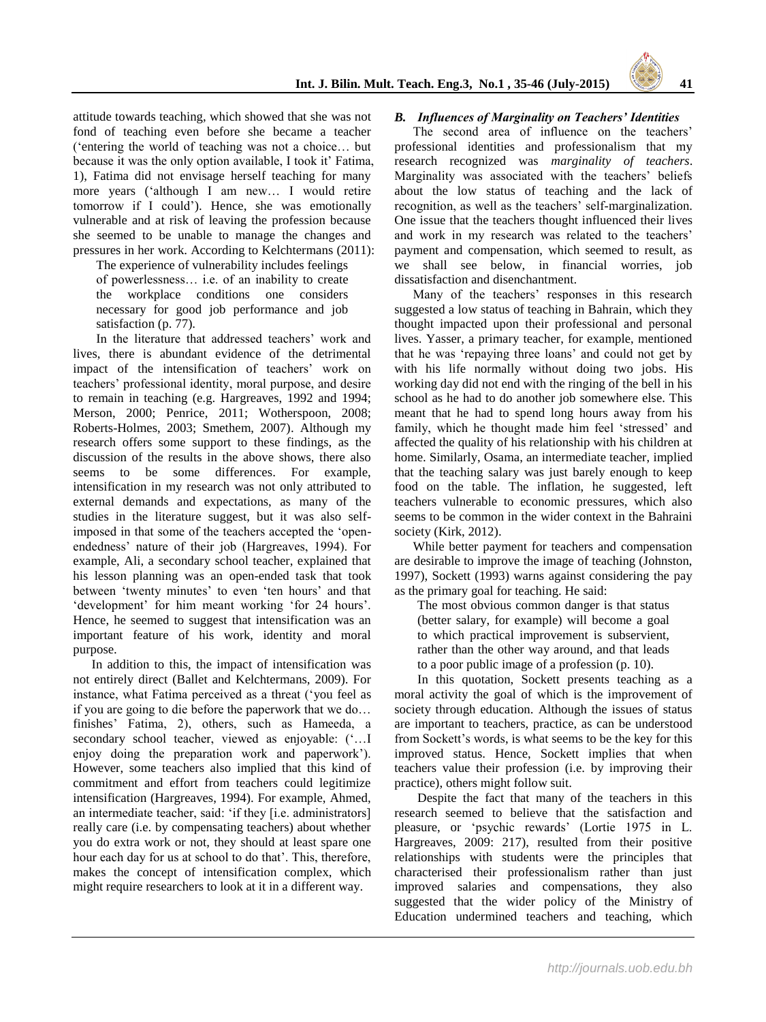attitude towards teaching, which showed that she was not fond of teaching even before she became a teacher ("entering the world of teaching was not a choice… but because it was the only option available. I took it' Fatima, 1), Fatima did not envisage herself teaching for many more years ("although I am new… I would retire tomorrow if I could"). Hence, she was emotionally vulnerable and at risk of leaving the profession because she seemed to be unable to manage the changes and pressures in her work. According to Kelchtermans (2011):

The experience of vulnerability includes feelings of powerlessness… i.e. of an inability to create the workplace conditions one considers necessary for good job performance and job satisfaction (p. 77).

In the literature that addressed teachers' work and lives, there is abundant evidence of the detrimental impact of the intensification of teachers' work on teachers" professional identity, moral purpose, and desire to remain in teaching (e.g. Hargreaves, 1992 and 1994; Merson, 2000; Penrice, 2011; Wotherspoon, 2008; Roberts-Holmes, 2003; Smethem, 2007). Although my research offers some support to these findings, as the discussion of the results in the above shows, there also seems to be some differences. For example, intensification in my research was not only attributed to external demands and expectations, as many of the studies in the literature suggest, but it was also selfimposed in that some of the teachers accepted the "openendedness" nature of their job (Hargreaves, 1994). For example, Ali, a secondary school teacher, explained that his lesson planning was an open-ended task that took between 'twenty minutes' to even 'ten hours' and that 'development' for him meant working 'for 24 hours'. Hence, he seemed to suggest that intensification was an important feature of his work, identity and moral purpose.

In addition to this, the impact of intensification was not entirely direct (Ballet and Kelchtermans, 2009). For instance, what Fatima perceived as a threat ("you feel as if you are going to die before the paperwork that we do… finishes" Fatima, 2), others, such as Hameeda, a secondary school teacher, viewed as enjoyable:  $(\cdot \dots I)$ enjoy doing the preparation work and paperwork"). However, some teachers also implied that this kind of commitment and effort from teachers could legitimize intensification (Hargreaves, 1994). For example, Ahmed, an intermediate teacher, said: "if they [i.e. administrators] really care (i.e. by compensating teachers) about whether you do extra work or not, they should at least spare one hour each day for us at school to do that'. This, therefore, makes the concept of intensification complex, which might require researchers to look at it in a different way.

# *B. Influences of Marginality on Teachers' Identities*

The second area of influence on the teachers' professional identities and professionalism that my research recognized was *marginality of teachers*. Marginality was associated with the teachers' beliefs about the low status of teaching and the lack of recognition, as well as the teachers' self-marginalization. One issue that the teachers thought influenced their lives and work in my research was related to the teachers' payment and compensation, which seemed to result, as we shall see below, in financial worries, job dissatisfaction and disenchantment.

Many of the teachers' responses in this research suggested a low status of teaching in Bahrain, which they thought impacted upon their professional and personal lives. Yasser, a primary teacher, for example, mentioned that he was "repaying three loans" and could not get by with his life normally without doing two jobs. His working day did not end with the ringing of the bell in his school as he had to do another job somewhere else. This meant that he had to spend long hours away from his family, which he thought made him feel 'stressed' and affected the quality of his relationship with his children at home. Similarly, Osama, an intermediate teacher, implied that the teaching salary was just barely enough to keep food on the table. The inflation, he suggested, left teachers vulnerable to economic pressures, which also seems to be common in the wider context in the Bahraini society (Kirk, 2012).

While better payment for teachers and compensation are desirable to improve the image of teaching (Johnston, 1997), Sockett (1993) warns against considering the pay as the primary goal for teaching. He said:

The most obvious common danger is that status (better salary, for example) will become a goal to which practical improvement is subservient, rather than the other way around, and that leads to a poor public image of a profession (p. 10).

In this quotation, Sockett presents teaching as a moral activity the goal of which is the improvement of society through education. Although the issues of status are important to teachers, practice, as can be understood from Sockett's words, is what seems to be the key for this improved status. Hence, Sockett implies that when teachers value their profession (i.e. by improving their practice), others might follow suit.

Despite the fact that many of the teachers in this research seemed to believe that the satisfaction and pleasure, or "psychic rewards" (Lortie 1975 in L. Hargreaves, 2009: 217), resulted from their positive relationships with students were the principles that characterised their professionalism rather than just improved salaries and compensations, they also suggested that the wider policy of the Ministry of Education undermined teachers and teaching, which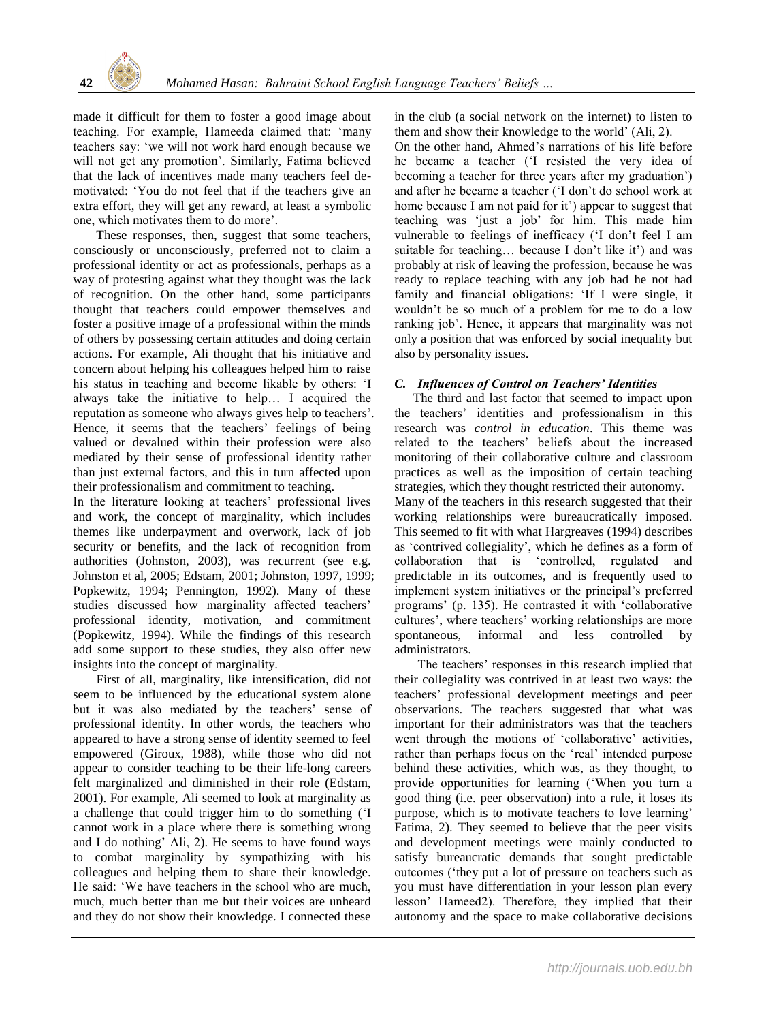made it difficult for them to foster a good image about teaching. For example, Hameeda claimed that: "many teachers say: "we will not work hard enough because we will not get any promotion'. Similarly, Fatima believed that the lack of incentives made many teachers feel demotivated: "You do not feel that if the teachers give an extra effort, they will get any reward, at least a symbolic one, which motivates them to do more".

These responses, then, suggest that some teachers, consciously or unconsciously, preferred not to claim a professional identity or act as professionals, perhaps as a way of protesting against what they thought was the lack of recognition. On the other hand, some participants thought that teachers could empower themselves and foster a positive image of a professional within the minds of others by possessing certain attitudes and doing certain actions. For example, Ali thought that his initiative and concern about helping his colleagues helped him to raise his status in teaching and become likable by others: "I always take the initiative to help… I acquired the reputation as someone who always gives help to teachers". Hence, it seems that the teachers' feelings of being valued or devalued within their profession were also mediated by their sense of professional identity rather than just external factors, and this in turn affected upon their professionalism and commitment to teaching.

In the literature looking at teachers' professional lives and work, the concept of marginality, which includes themes like underpayment and overwork, lack of job security or benefits, and the lack of recognition from authorities (Johnston, 2003), was recurrent (see e.g. Johnston et al, 2005; Edstam, 2001; Johnston, 1997, 1999; Popkewitz, 1994; Pennington, 1992). Many of these studies discussed how marginality affected teachers' professional identity, motivation, and commitment (Popkewitz, 1994). While the findings of this research add some support to these studies, they also offer new insights into the concept of marginality.

First of all, marginality, like intensification, did not seem to be influenced by the educational system alone but it was also mediated by the teachers' sense of professional identity. In other words, the teachers who appeared to have a strong sense of identity seemed to feel empowered (Giroux, 1988), while those who did not appear to consider teaching to be their life-long careers felt marginalized and diminished in their role (Edstam, 2001). For example, Ali seemed to look at marginality as a challenge that could trigger him to do something ("I cannot work in a place where there is something wrong and I do nothing" Ali, 2). He seems to have found ways to combat marginality by sympathizing with his colleagues and helping them to share their knowledge. He said: "We have teachers in the school who are much, much, much better than me but their voices are unheard and they do not show their knowledge. I connected these

in the club (a social network on the internet) to listen to them and show their knowledge to the world" (Ali, 2).

On the other hand, Ahmed"s narrations of his life before he became a teacher ("I resisted the very idea of becoming a teacher for three years after my graduation") and after he became a teacher ("I don"t do school work at home because I am not paid for it') appear to suggest that teaching was "just a job" for him. This made him vulnerable to feelings of inefficacy ('I don't feel I am suitable for teaching... because I don't like it') and was probably at risk of leaving the profession, because he was ready to replace teaching with any job had he not had family and financial obligations: "If I were single, it wouldn"t be so much of a problem for me to do a low ranking job'. Hence, it appears that marginality was not only a position that was enforced by social inequality but also by personality issues.

## *C. Influences of Control on Teachers' Identities*

The third and last factor that seemed to impact upon the teachers" identities and professionalism in this research was *control in education*. This theme was related to the teachers" beliefs about the increased monitoring of their collaborative culture and classroom practices as well as the imposition of certain teaching strategies, which they thought restricted their autonomy. Many of the teachers in this research suggested that their working relationships were bureaucratically imposed. This seemed to fit with what Hargreaves (1994) describes as 'contrived collegiality', which he defines as a form of collaboration that is "controlled, regulated and predictable in its outcomes, and is frequently used to implement system initiatives or the principal's preferred programs" (p. 135). He contrasted it with "collaborative cultures', where teachers' working relationships are more spontaneous, informal and less controlled by administrators.

The teachers' responses in this research implied that their collegiality was contrived in at least two ways: the teachers" professional development meetings and peer observations. The teachers suggested that what was important for their administrators was that the teachers went through the motions of 'collaborative' activities, rather than perhaps focus on the "real" intended purpose behind these activities, which was, as they thought, to provide opportunities for learning ("When you turn a good thing (i.e. peer observation) into a rule, it loses its purpose, which is to motivate teachers to love learning' Fatima, 2). They seemed to believe that the peer visits and development meetings were mainly conducted to satisfy bureaucratic demands that sought predictable outcomes ("they put a lot of pressure on teachers such as you must have differentiation in your lesson plan every lesson" Hameed2). Therefore, they implied that their autonomy and the space to make collaborative decisions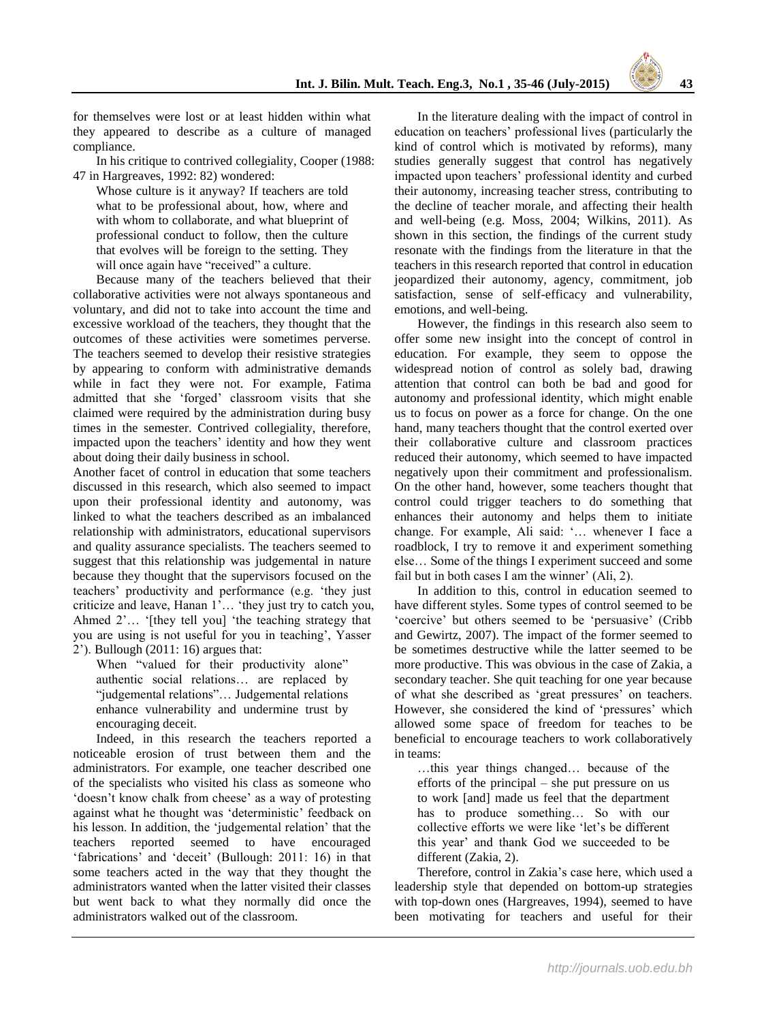for themselves were lost or at least hidden within what they appeared to describe as a culture of managed

compliance. In his critique to contrived collegiality, Cooper (1988: 47 in Hargreaves, 1992: 82) wondered:

Whose culture is it anyway? If teachers are told what to be professional about, how, where and with whom to collaborate, and what blueprint of professional conduct to follow, then the culture that evolves will be foreign to the setting. They will once again have "received" a culture.

Because many of the teachers believed that their collaborative activities were not always spontaneous and voluntary, and did not to take into account the time and excessive workload of the teachers, they thought that the outcomes of these activities were sometimes perverse. The teachers seemed to develop their resistive strategies by appearing to conform with administrative demands while in fact they were not. For example, Fatima admitted that she "forged" classroom visits that she claimed were required by the administration during busy times in the semester. Contrived collegiality, therefore, impacted upon the teachers' identity and how they went about doing their daily business in school.

Another facet of control in education that some teachers discussed in this research, which also seemed to impact upon their professional identity and autonomy, was linked to what the teachers described as an imbalanced relationship with administrators, educational supervisors and quality assurance specialists. The teachers seemed to suggest that this relationship was judgemental in nature because they thought that the supervisors focused on the teachers" productivity and performance (e.g. "they just criticize and leave, Hanan 1"… "they just try to catch you, Ahmed 2'... '[they tell you] 'the teaching strategy that you are using is not useful for you in teaching", Yasser 2"). Bullough (2011: 16) argues that:

When "valued for their productivity alone" authentic social relations… are replaced by "judgemental relations"… Judgemental relations enhance vulnerability and undermine trust by encouraging deceit.

Indeed, in this research the teachers reported a noticeable erosion of trust between them and the administrators. For example, one teacher described one of the specialists who visited his class as someone who 'doesn't know chalk from cheese' as a way of protesting against what he thought was "deterministic" feedback on his lesson. In addition, the 'judgemental relation' that the teachers reported seemed to have encouraged 'fabrications' and 'deceit' (Bullough: 2011: 16) in that some teachers acted in the way that they thought the administrators wanted when the latter visited their classes but went back to what they normally did once the administrators walked out of the classroom.

In the literature dealing with the impact of control in education on teachers" professional lives (particularly the kind of control which is motivated by reforms), many studies generally suggest that control has negatively impacted upon teachers" professional identity and curbed their autonomy, increasing teacher stress, contributing to the decline of teacher morale, and affecting their health and well-being (e.g. Moss, 2004; Wilkins, 2011). As shown in this section, the findings of the current study resonate with the findings from the literature in that the teachers in this research reported that control in education jeopardized their autonomy, agency, commitment, job satisfaction, sense of self-efficacy and vulnerability, emotions, and well-being.

However, the findings in this research also seem to offer some new insight into the concept of control in education. For example, they seem to oppose the widespread notion of control as solely bad, drawing attention that control can both be bad and good for autonomy and professional identity, which might enable us to focus on power as a force for change. On the one hand, many teachers thought that the control exerted over their collaborative culture and classroom practices reduced their autonomy, which seemed to have impacted negatively upon their commitment and professionalism. On the other hand, however, some teachers thought that control could trigger teachers to do something that enhances their autonomy and helps them to initiate change. For example, Ali said: "… whenever I face a roadblock, I try to remove it and experiment something else… Some of the things I experiment succeed and some fail but in both cases I am the winner'  $(A)$   $(2)$ .

In addition to this, control in education seemed to have different styles. Some types of control seemed to be 'coercive' but others seemed to be 'persuasive' (Cribb and Gewirtz, 2007). The impact of the former seemed to be sometimes destructive while the latter seemed to be more productive. This was obvious in the case of Zakia, a secondary teacher. She quit teaching for one year because of what she described as 'great pressures' on teachers. However, she considered the kind of 'pressures' which allowed some space of freedom for teaches to be beneficial to encourage teachers to work collaboratively in teams:

…this year things changed… because of the efforts of the principal – she put pressure on us to work [and] made us feel that the department has to produce something... So with our collective efforts we were like "let"s be different this year" and thank God we succeeded to be different (Zakia, 2).

Therefore, control in Zakia"s case here, which used a leadership style that depended on bottom-up strategies with top-down ones (Hargreaves, 1994), seemed to have been motivating for teachers and useful for their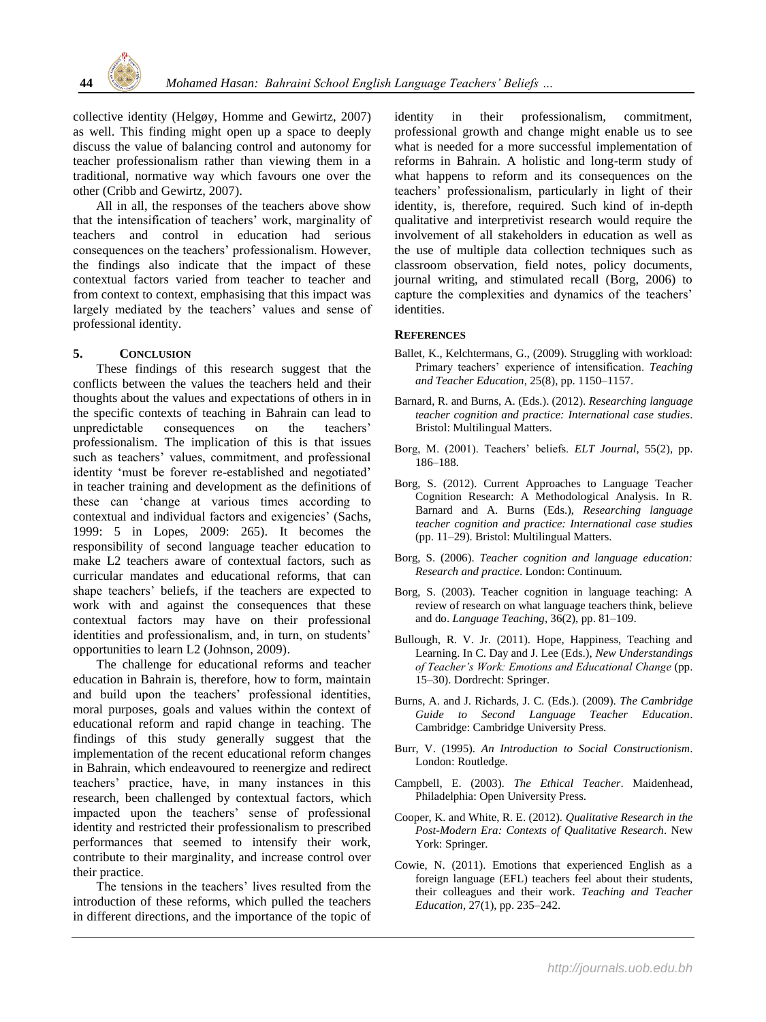collective identity (Helgøy, Homme and Gewirtz, 2007) as well. This finding might open up a space to deeply discuss the value of balancing control and autonomy for teacher professionalism rather than viewing them in a traditional, normative way which favours one over the other (Cribb and Gewirtz, 2007).

All in all, the responses of the teachers above show that the intensification of teachers" work, marginality of teachers and control in education had serious consequences on the teachers" professionalism. However, the findings also indicate that the impact of these contextual factors varied from teacher to teacher and from context to context, emphasising that this impact was largely mediated by the teachers' values and sense of professional identity.

#### **5. CONCLUSION**

These findings of this research suggest that the conflicts between the values the teachers held and their thoughts about the values and expectations of others in in the specific contexts of teaching in Bahrain can lead to unpredictable consequences on the teachers' professionalism. The implication of this is that issues such as teachers' values, commitment, and professional identity 'must be forever re-established and negotiated' in teacher training and development as the definitions of these can "change at various times according to contextual and individual factors and exigencies" (Sachs, 1999: 5 in Lopes, 2009: 265). It becomes the responsibility of second language teacher education to make L2 teachers aware of contextual factors, such as curricular mandates and educational reforms, that can shape teachers" beliefs, if the teachers are expected to work with and against the consequences that these contextual factors may have on their professional identities and professionalism, and, in turn, on students' opportunities to learn L2 (Johnson, 2009).

The challenge for educational reforms and teacher education in Bahrain is, therefore, how to form, maintain and build upon the teachers" professional identities, moral purposes, goals and values within the context of educational reform and rapid change in teaching. The findings of this study generally suggest that the implementation of the recent educational reform changes in Bahrain, which endeavoured to reenergize and redirect teachers" practice, have, in many instances in this research, been challenged by contextual factors, which impacted upon the teachers' sense of professional identity and restricted their professionalism to prescribed performances that seemed to intensify their work, contribute to their marginality, and increase control over their practice.

The tensions in the teachers' lives resulted from the introduction of these reforms, which pulled the teachers in different directions, and the importance of the topic of identity in their professionalism, commitment, professional growth and change might enable us to see what is needed for a more successful implementation of reforms in Bahrain. A holistic and long-term study of what happens to reform and its consequences on the teachers" professionalism, particularly in light of their identity, is, therefore, required. Such kind of in-depth qualitative and interpretivist research would require the involvement of all stakeholders in education as well as the use of multiple data collection techniques such as classroom observation, field notes, policy documents, journal writing, and stimulated recall (Borg, 2006) to capture the complexities and dynamics of the teachers" identities.

#### **REFERENCES**

- Ballet, K., Kelchtermans, G., (2009). Struggling with workload: Primary teachers" experience of intensification. *Teaching and Teacher Education*, 25(8), pp. 1150–1157.
- Barnard, R. and Burns, A. (Eds.). (2012). *Researching language teacher cognition and practice: International case studies*. Bristol: Multilingual Matters.
- Borg, M. (2001). Teachers" beliefs. *ELT Journal*, 55(2), pp. 186–188.
- Borg, S. (2012). Current Approaches to Language Teacher Cognition Research: A Methodological Analysis. In R. Barnard and A. Burns (Eds.), *Researching language teacher cognition and practice: International case studies* (pp. 11–29). Bristol: Multilingual Matters.
- Borg, S. (2006). *Teacher cognition and language education: Research and practice*. London: Continuum.
- Borg, S. (2003). Teacher cognition in language teaching: A review of research on what language teachers think, believe and do. *Language Teaching*, 36(2), pp. 81–109.
- Bullough, R. V. Jr. (2011). Hope, Happiness, Teaching and Learning. In C. Day and J. Lee (Eds.), *New Understandings of Teacher's Work: Emotions and Educational Change* (pp. 15–30). Dordrecht: Springer.
- Burns, A. and J. Richards, J. C. (Eds.). (2009). *The Cambridge Guide to Second Language Teacher Education*. Cambridge: Cambridge University Press.
- Burr, V. (1995). *An Introduction to Social Constructionism*. London: Routledge.
- Campbell, E. (2003). *The Ethical Teacher*. Maidenhead, Philadelphia: Open University Press.
- Cooper, K. and White, R. E. (2012). *Qualitative Research in the Post-Modern Era: Contexts of Qualitative Research*. New York: Springer.
- Cowie, N. (2011). Emotions that experienced English as a foreign language (EFL) teachers feel about their students, their colleagues and their work. *Teaching and Teacher Education*, 27(1), pp. 235–242.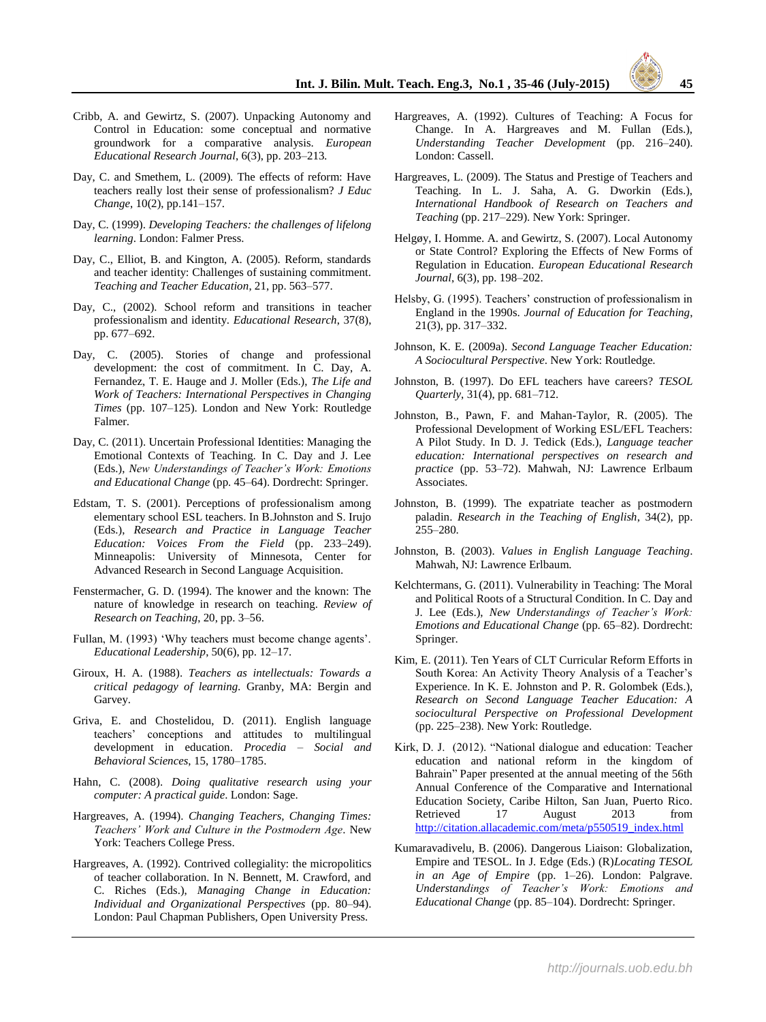- Cribb, A. and Gewirtz, S. (2007). Unpacking Autonomy and Control in Education: some conceptual and normative groundwork for a comparative analysis. *European Educational Research Journal*, 6(3), pp. 203–213*.*
- Day, C. and Smethem, L. (2009). The effects of reform: Have teachers really lost their sense of professionalism? *J Educ Change*, 10(2), pp.141–157.
- Day, C. (1999). *Developing Teachers: the challenges of lifelong learning*. London: Falmer Press.
- Day, C., Elliot, B. and Kington, A. (2005). Reform, standards and teacher identity: Challenges of sustaining commitment. *Teaching and Teacher Education*, 21, pp. 563–577.
- Day, C., (2002). School reform and transitions in teacher professionalism and identity. *Educational Research*, 37(8), pp. 677–692.
- Day, C. (2005). Stories of change and professional development: the cost of commitment. In C. Day, A. Fernandez, T. E. Hauge and J. Moller (Eds.), *The Life and Work of Teachers: International Perspectives in Changing Times* (pp. 107–125). London and New York: Routledge Falmer.
- Day, C. (2011). Uncertain Professional Identities: Managing the Emotional Contexts of Teaching. In C. Day and J. Lee (Eds.), *New Understandings of Teacher's Work: Emotions and Educational Change* (pp. 45–64). Dordrecht: Springer.
- Edstam, T. S. (2001). Perceptions of professionalism among elementary school ESL teachers. In B.Johnston and S. Irujo (Eds.), *Research and Practice in Language Teacher Education: Voices From the Field* (pp. 233–249). Minneapolis: University of Minnesota, Center for Advanced Research in Second Language Acquisition.
- Fenstermacher, G. D. (1994). The knower and the known: The nature of knowledge in research on teaching. *Review of Research on Teaching*, 20, pp. 3–56.
- Fullan, M. (1993) 'Why teachers must become change agents'. *Educational Leadership*, 50(6), pp. 12–17.
- Giroux, H. A. (1988). *Teachers as intellectuals: Towards a critical pedagogy of learning.* Granby, MA: Bergin and Garvey.
- Griva, E. and Chostelidou, D. (2011). English language teachers" conceptions and attitudes to multilingual development in education. *Procedia – Social and Behavioral Sciences*, 15, 1780–1785.
- Hahn, C. (2008). *Doing qualitative research using your computer: A practical guide*. London: Sage.
- Hargreaves, A. (1994). *Changing Teachers, Changing Times: Teachers' Work and Culture in the Postmodern Age*. New York: Teachers College Press.
- Hargreaves, A. (1992). Contrived collegiality: the micropolitics of teacher collaboration. In N. Bennett, M. Crawford, and C. Riches (Eds.), *Managing Change in Education: Individual and Organizational Perspectives* (pp. 80–94). London: Paul Chapman Publishers, Open University Press.
- Hargreaves, A. (1992). Cultures of Teaching: A Focus for Change. In A. Hargreaves and M. Fullan (Eds.), *Understanding Teacher Development* (pp. 216–240). London: Cassell.
- Hargreaves, L. (2009). The Status and Prestige of Teachers and Teaching. In L. J. Saha, A. G. Dworkin (Eds.), *International Handbook of Research on Teachers and Teaching* (pp. 217–229). New York: Springer.
- Helgøy, I. Homme. A. and Gewirtz, S. (2007). Local Autonomy or State Control? Exploring the Effects of New Forms of Regulation in Education. *European Educational Research Journal*, 6(3), pp. 198–202.
- Helsby, G. (1995). Teachers' construction of professionalism in England in the 1990s. *Journal of Education for Teaching*, 21(3), pp. 317–332.
- Johnson, K. E. (2009a). *Second Language Teacher Education: A Sociocultural Perspective*. New York: Routledge.
- Johnston, B. (1997). Do EFL teachers have careers? *TESOL Quarterly*, 31(4), pp. 681–712.
- Johnston, B., Pawn, F. and Mahan-Taylor, R. (2005). The Professional Development of Working ESL/EFL Teachers: A Pilot Study. In D. J. Tedick (Eds.), *Language teacher education: International perspectives on research and practice* (pp. 53–72). Mahwah, NJ: Lawrence Erlbaum Associates.
- Johnston, B. (1999). The expatriate teacher as postmodern paladin. *Research in the Teaching of English*, 34(2), pp. 255–280.
- Johnston, B. (2003). *Values in English Language Teaching*. Mahwah, NJ: Lawrence Erlbaum.
- Kelchtermans, G. (2011). Vulnerability in Teaching: The Moral and Political Roots of a Structural Condition. In C. Day and J. Lee (Eds.), *New Understandings of Teacher's Work: Emotions and Educational Change* (pp. 65–82). Dordrecht: Springer.
- Kim, E. (2011). Ten Years of CLT Curricular Reform Efforts in South Korea: An Activity Theory Analysis of a Teacher's Experience. In K. E. Johnston and P. R. Golombek (Eds.), *Research on Second Language Teacher Education: A sociocultural Perspective on Professional Development* (pp. 225–238). New York: Routledge.
- Kirk, D. J. (2012). "National dialogue and education: Teacher education and national reform in the kingdom of Bahrain" Paper presented at the annual meeting of the 56th Annual Conference of the Comparative and International Education Society, Caribe Hilton, San Juan, Puerto Rico. Retrieved 17 August 2013 from [http://citation.allacademic.com/meta/p550519\\_index.html](http://citation.allacademic.com/meta/p550519_index.html)
- Kumaravadivelu, B. (2006). Dangerous Liaison: Globalization, Empire and TESOL. In J. Edge (Eds.) (R)*Locating TESOL in an Age of Empire* (pp. 1–26). London: Palgrave. *Understandings of Teacher's Work: Emotions and Educational Change* (pp. 85–104). Dordrecht: Springer.